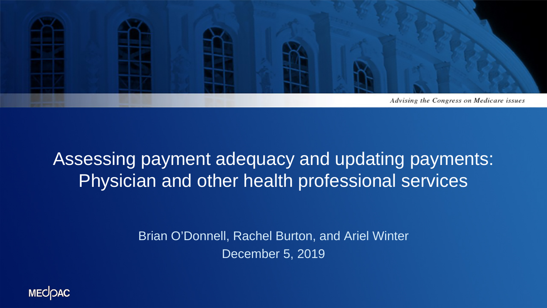

#### Assessing payment adequacy and updating payments: Physician and other health professional services

Brian O'Donnell, Rachel Burton, and Ariel Winter December 5, 2019

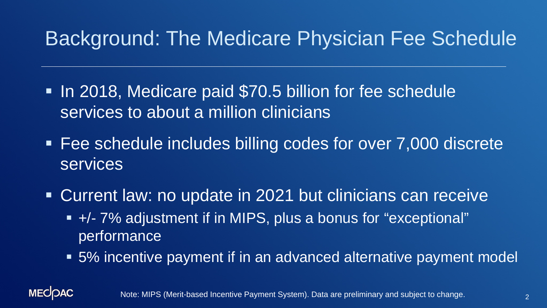## Background: The Medicare Physician Fee Schedule

- In 2018, Medicare paid \$70.5 billion for fee schedule services to about a million clinicians
- Fee schedule includes billing codes for over 7,000 discrete services
- Current law: no update in 2021 but clinicians can receive +/- 7% adjustment if in MIPS, plus a bonus for "exceptional" performance
	- 5% incentive payment if in an advanced alternative payment model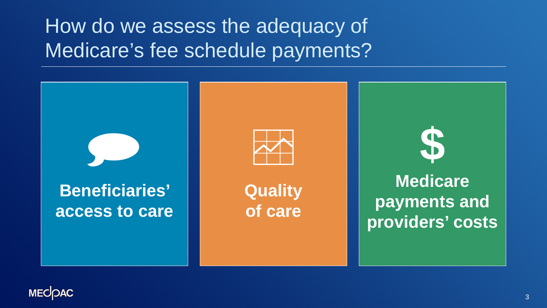

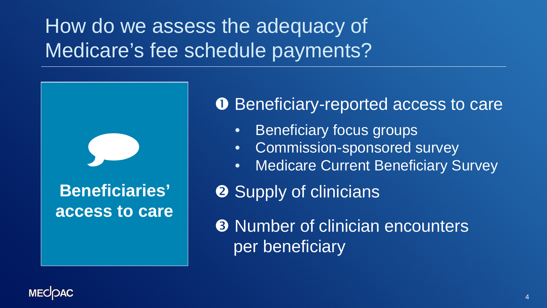

**O** Beneficiary-reported access to care

- Beneficiary focus groups
- Commission-sponsored survey
- Medicare Current Beneficiary Survey

**2** Supply of clinicians

**8 Number of clinician encounters** per beneficiary

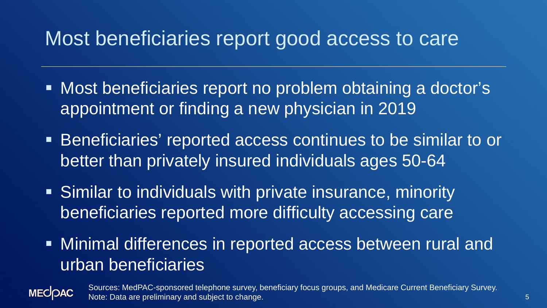#### Most beneficiaries report good access to care

- Most beneficiaries report no problem obtaining a doctor's appointment or finding a new physician in 2019
- Beneficiaries' reported access continues to be similar to or better than privately insured individuals ages 50-64
- Similar to individuals with private insurance, minority beneficiaries reported more difficulty accessing care
- Minimal differences in reported access between rural and urban beneficiaries



Sources: MedPAC-sponsored telephone survey, beneficiary focus groups, and Medicare Current Beneficiary Survey. Note: Data are preliminary and subject to change.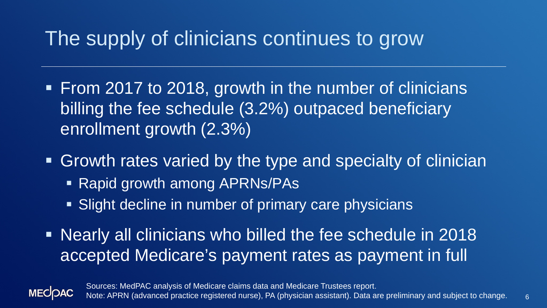### The supply of clinicians continues to grow

- **From 2017 to 2018, growth in the number of clinicians** billing the fee schedule (3.2%) outpaced beneficiary enrollment growth (2.3%)
- **Growth rates varied by the type and specialty of clinician** 
	- Rapid growth among APRNs/PAs
	- **Slight decline in number of primary care physicians**
- Nearly all clinicians who billed the fee schedule in 2018 accepted Medicare's payment rates as payment in full

**MECOAC** 

Sources: MedPAC analysis of Medicare claims data and Medicare Trustees report. Note: APRN (advanced practice registered nurse), PA (physician assistant). Data are preliminary and subject to change.

6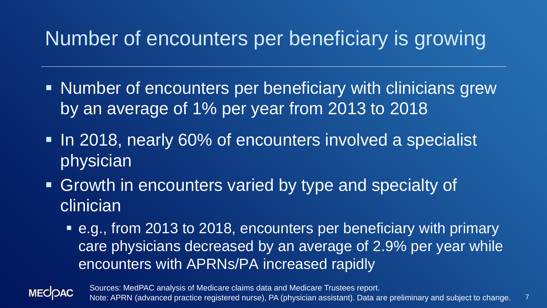## Number of encounters per beneficiary is growing

- Number of encounters per beneficiary with clinicians grew by an average of 1% per year from 2013 to 2018
- In 2018, nearly 60% of encounters involved a specialist physician
- **Growth in encounters varied by type and specialty of** clinician<sup>®</sup>
	- e.g., from 2013 to 2018, encounters per beneficiary with primary care physicians decreased by an average of 2.9% per year while encounters with APRNs/PA increased rapidly



7 Sources: MedPAC analysis of Medicare claims data and Medicare Trustees report. Note: APRN (advanced practice registered nurse), PA (physician assistant). Data are preliminary and subject to change.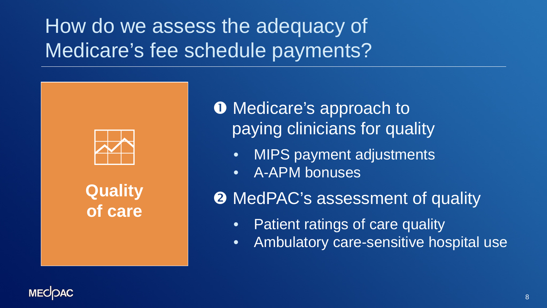

**Quality of care** **O** Medicare's approach to paying clinicians for quality

- MIPS payment adjustments
- A-APM bonuses

**2** MedPAC's assessment of quality

- Patient ratings of care quality
- Ambulatory care-sensitive hospital use

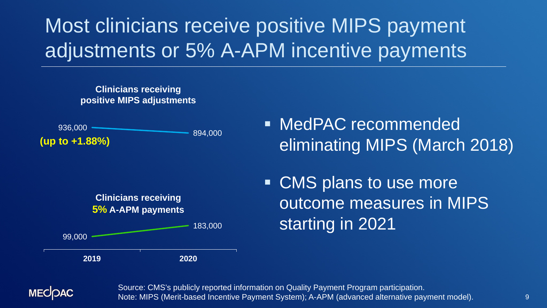## Most clinicians receive positive MIPS payment adjustments or 5% A-APM incentive payments

#### **Clinicians receiving positive MIPS adjustments**





■ CMS plans to use more outcome measures in MIPS starting in 2021





Source: CMS's publicly reported information on Quality Payment Program participation. Note: MIPS (Merit-based Incentive Payment System); A-APM (advanced alternative payment model).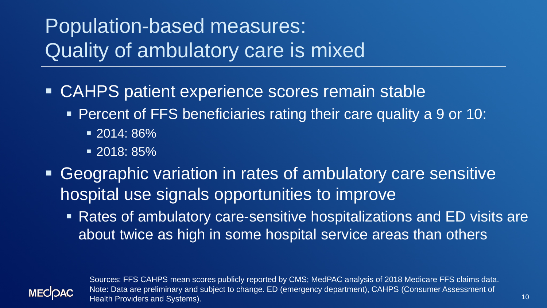## Population-based measures: Quality of ambulatory care is mixed

- CAHPS patient experience scores remain stable
	- Percent of FFS beneficiaries rating their care quality a 9 or 10:
		- 2014: 86%
		- 2018: 85%
- Geographic variation in rates of ambulatory care sensitive hospital use signals opportunities to improve
	- Rates of ambulatory care-sensitive hospitalizations and ED visits are about twice as high in some hospital service areas than others



Sources: FFS CAHPS mean scores publicly reported by CMS; MedPAC analysis of 2018 Medicare FFS claims data. Note: Data are preliminary and subject to change. ED (emergency department), CAHPS (Consumer Assessment of Health Providers and Systems).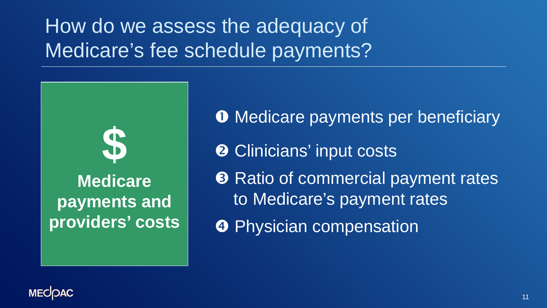

**O** Medicare payments per beneficiary **2** Clinicians' input costs **8** Ratio of commercial payment rates to Medicare's payment rates **<sup>O</sup>** Physician compensation

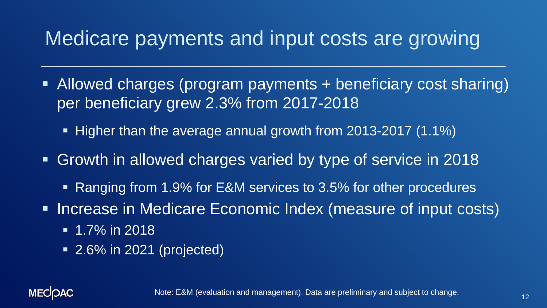#### Medicare payments and input costs are growing

- Allowed charges (program payments + beneficiary cost sharing) per beneficiary grew 2.3% from 2017-2018
	- Higher than the average annual growth from 2013-2017 (1.1%)
- Growth in allowed charges varied by type of service in 2018
	- Ranging from 1.9% for E&M services to 3.5% for other procedures
- **Increase in Medicare Economic Index (measure of input costs)** 
	- $\blacksquare$  1.7% in 2018
	- 2.6% in 2021 (projected)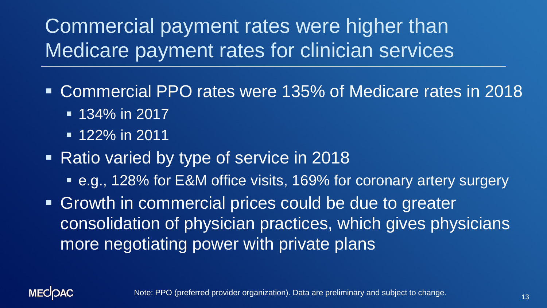Commercial payment rates were higher than Medicare payment rates for clinician services

- Commercial PPO rates were 135% of Medicare rates in 2018
	- **134% in 2017**
	- **122% in 2011**
- Ratio varied by type of service in 2018
	- e.g., 128% for E&M office visits, 169% for coronary artery surgery
- **Growth in commercial prices could be due to greater** consolidation of physician practices, which gives physicians more negotiating power with private plans

**MECOAC** 

Note: PPO (preferred provider organization). Data are preliminary and subject to change.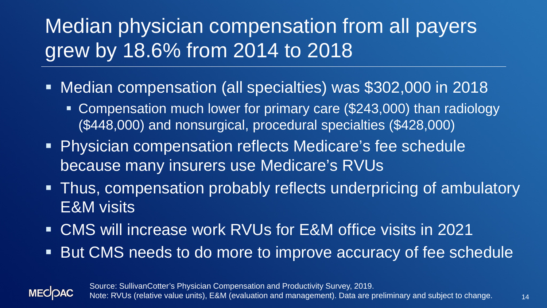## Median physician compensation from all payers grew by 18.6% from 2014 to 2018

- Median compensation (all specialties) was \$302,000 in 2018
	- **Compensation much lower for primary care (\$243,000) than radiology** (\$448,000) and nonsurgical, procedural specialties (\$428,000)
- Physician compensation reflects Medicare's fee schedule because many insurers use Medicare's RVUs
- **Thus, compensation probably reflects underpricing of ambulatory** E&M visits
- CMS will increase work RVUs for E&M office visits in 2021
- But CMS needs to do more to improve accuracy of fee schedule



Source: SullivanCotter's Physician Compensation and Productivity Survey, 2019. Note: RVUs (relative value units), E&M (evaluation and management). Data are preliminary and subject to change.